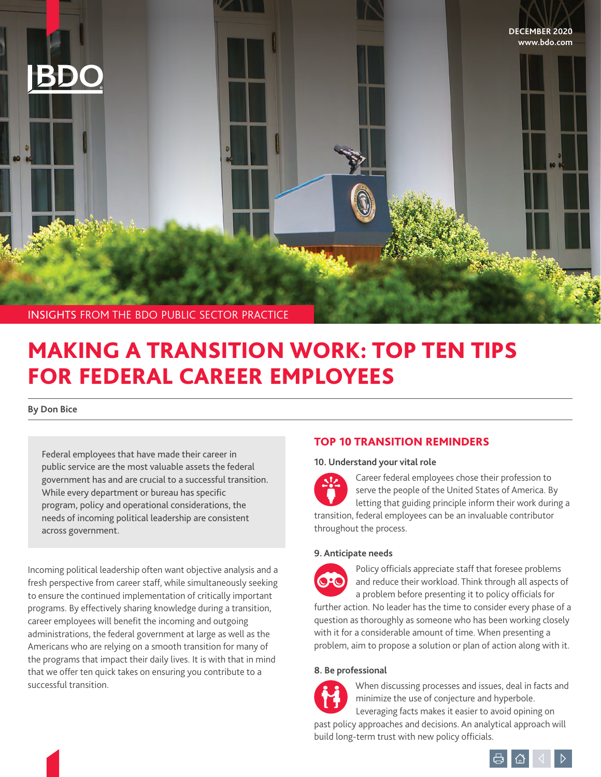

# MAKING A TRANSITION WORK: TOP TEN TIPS FOR FEDERAL CAREER EMPLOYEES

**By Don Bice**

Federal employees that have made their career in public service are the most valuable assets the federal government has and are crucial to a successful transition. While every department or bureau has specific program, policy and operational considerations, the needs of incoming political leadership are consistent across government.

Incoming political leadership often want objective analysis and a fresh perspective from career staff, while simultaneously seeking to ensure the continued implementation of critically important programs. By effectively sharing knowledge during a transition, career employees will benefit the incoming and outgoing administrations, the federal government at large as well as the Americans who are relying on a smooth transition for many of the programs that impact their daily lives. It is with that in mind that we offer ten quick takes on ensuring you contribute to a successful transition.

# TOP 10 TRANSITION REMINDERS

# **10. Understand your vital role**

Career federal employees chose their profession to serve the people of the United States of America. By letting that guiding principle inform their work during a transition, federal employees can be an invaluable contributor throughout the process.

# **9. Anticipate needs**



Policy officials appreciate staff that foresee problems and reduce their workload. Think through all aspects of a problem before presenting it to policy officials for

further action. No leader has the time to consider every phase of a question as thoroughly as someone who has been working closely with it for a considerable amount of time. When presenting a problem, aim to propose a solution or plan of action along with it.

# **8. Be professional**



When discussing processes and issues, deal in facts and minimize the use of conjecture and hyperbole.

Leveraging facts makes it easier to avoid opining on past policy approaches and decisions. An analytical approach will build long-term trust with new policy officials.